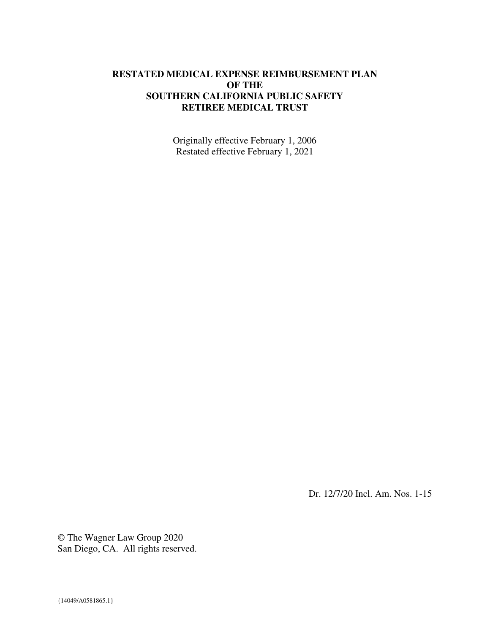#### **RESTATED MEDICAL EXPENSE REIMBURSEMENT PLAN OF THE SOUTHERN CALIFORNIA PUBLIC SAFETY RETIREE MEDICAL TRUST**

Originally effective February 1, 2006 Restated effective February 1, 2021

Dr. 12/7/20 Incl. Am. Nos. 1-15

© The Wagner Law Group 2020 San Diego, CA. All rights reserved.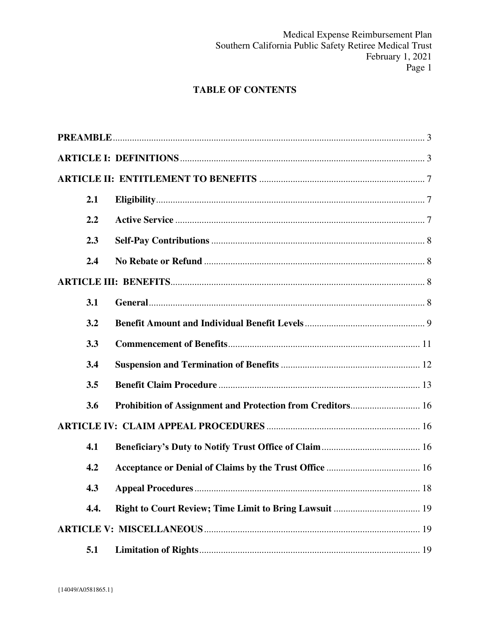# **TABLE OF CONTENTS**

| 2.1  |  |    |  |
|------|--|----|--|
| 2.2  |  |    |  |
| 2.3  |  |    |  |
| 2.4  |  |    |  |
|      |  |    |  |
| 3.1  |  |    |  |
| 3.2  |  |    |  |
| 3.3  |  |    |  |
| 3.4  |  |    |  |
| 3.5  |  |    |  |
| 3.6  |  |    |  |
|      |  |    |  |
| 4.1  |  |    |  |
| 4.2  |  |    |  |
| 4.3  |  | 18 |  |
| 4.4. |  |    |  |
|      |  |    |  |
| 5.1  |  |    |  |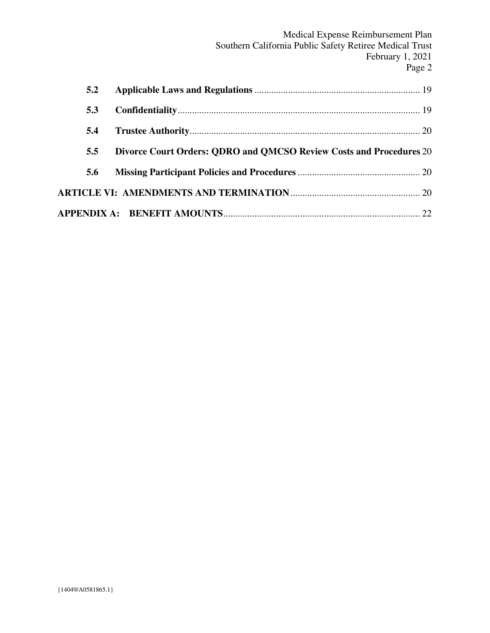| 5.2 |                                                                     |  |  |
|-----|---------------------------------------------------------------------|--|--|
| 5.3 |                                                                     |  |  |
| 5.4 |                                                                     |  |  |
| 5.5 | Divorce Court Orders: QDRO and QMCSO Review Costs and Procedures 20 |  |  |
| 5.6 |                                                                     |  |  |
|     |                                                                     |  |  |
|     |                                                                     |  |  |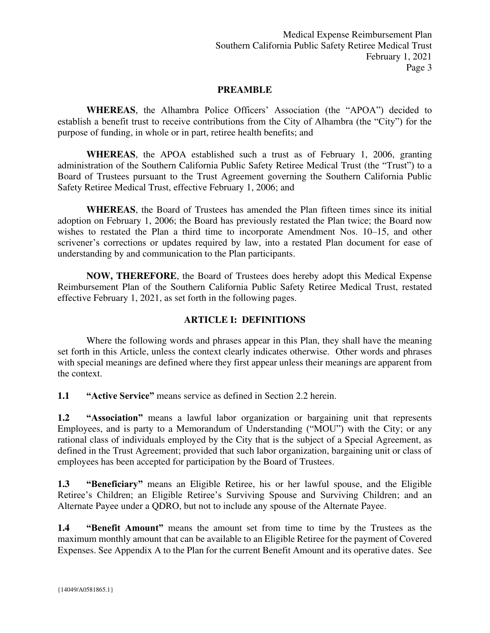Medical Expense Reimbursement Plan Southern California Public Safety Retiree Medical Trust February 1, 2021 Page 3

#### **PREAMBLE**

<span id="page-3-0"></span>**WHEREAS**, the Alhambra Police Officers' Association (the "APOA") decided to establish a benefit trust to receive contributions from the City of Alhambra (the "City") for the purpose of funding, in whole or in part, retiree health benefits; and

**WHEREAS**, the APOA established such a trust as of February 1, 2006, granting administration of the Southern California Public Safety Retiree Medical Trust (the "Trust") to a Board of Trustees pursuant to the Trust Agreement governing the Southern California Public Safety Retiree Medical Trust, effective February 1, 2006; and

**WHEREAS**, the Board of Trustees has amended the Plan fifteen times since its initial adoption on February 1, 2006; the Board has previously restated the Plan twice; the Board now wishes to restated the Plan a third time to incorporate Amendment Nos. 10–15, and other scrivener's corrections or updates required by law, into a restated Plan document for ease of understanding by and communication to the Plan participants.

**NOW, THEREFORE**, the Board of Trustees does hereby adopt this Medical Expense Reimbursement Plan of the Southern California Public Safety Retiree Medical Trust, restated effective February 1, 2021, as set forth in the following pages.

#### **ARTICLE I: DEFINITIONS**

<span id="page-3-1"></span>Where the following words and phrases appear in this Plan, they shall have the meaning set forth in this Article, unless the context clearly indicates otherwise. Other words and phrases with special meanings are defined where they first appear unless their meanings are apparent from the context.

**1.1 "Active Service"** means service as defined in Section 2.2 herein.

**1.2 "Association"** means a lawful labor organization or bargaining unit that represents Employees, and is party to a Memorandum of Understanding ("MOU") with the City; or any rational class of individuals employed by the City that is the subject of a Special Agreement, as defined in the Trust Agreement; provided that such labor organization, bargaining unit or class of employees has been accepted for participation by the Board of Trustees.

**1.3 "Beneficiary"** means an Eligible Retiree, his or her lawful spouse, and the Eligible Retiree's Children; an Eligible Retiree's Surviving Spouse and Surviving Children; and an Alternate Payee under a QDRO, but not to include any spouse of the Alternate Payee.

**1.4 "Benefit Amount"** means the amount set from time to time by the Trustees as the maximum monthly amount that can be available to an Eligible Retiree for the payment of Covered Expenses. See Appendix A to the Plan for the current Benefit Amount and its operative dates. See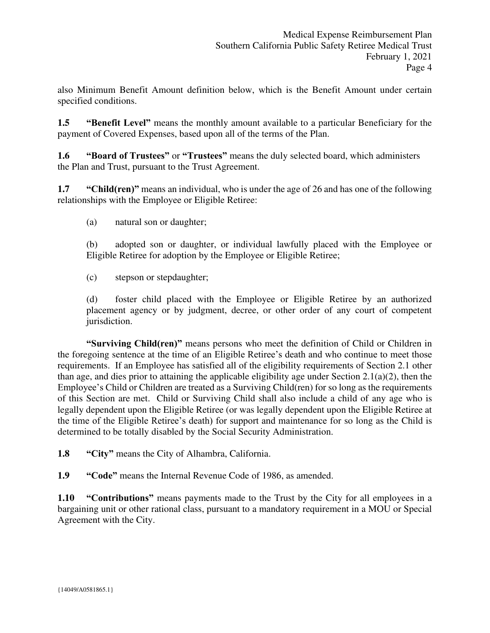also Minimum Benefit Amount definition below, which is the Benefit Amount under certain specified conditions.

**1.5 "Benefit Level"** means the monthly amount available to a particular Beneficiary for the payment of Covered Expenses, based upon all of the terms of the Plan.

**1.6 "Board of Trustees"** or **"Trustees"** means the duly selected board, which administers the Plan and Trust, pursuant to the Trust Agreement.

**1.7 "Child(ren)"** means an individual, who is under the age of 26 and has one of the following relationships with the Employee or Eligible Retiree:

(a) natural son or daughter;

(b) adopted son or daughter, or individual lawfully placed with the Employee or Eligible Retiree for adoption by the Employee or Eligible Retiree;

(c) stepson or stepdaughter;

(d) foster child placed with the Employee or Eligible Retiree by an authorized placement agency or by judgment, decree, or other order of any court of competent jurisdiction.

**"Surviving Child(ren)"** means persons who meet the definition of Child or Children in the foregoing sentence at the time of an Eligible Retiree's death and who continue to meet those requirements. If an Employee has satisfied all of the eligibility requirements of Section 2.1 other than age, and dies prior to attaining the applicable eligibility age under Section 2.1(a)(2), then the Employee's Child or Children are treated as a Surviving Child(ren) for so long as the requirements of this Section are met. Child or Surviving Child shall also include a child of any age who is legally dependent upon the Eligible Retiree (or was legally dependent upon the Eligible Retiree at the time of the Eligible Retiree's death) for support and maintenance for so long as the Child is determined to be totally disabled by the Social Security Administration.

**1.8 "City"** means the City of Alhambra, California.

**1.9 "Code"** means the Internal Revenue Code of 1986, as amended.

**1.10 "Contributions"** means payments made to the Trust by the City for all employees in a bargaining unit or other rational class, pursuant to a mandatory requirement in a MOU or Special Agreement with the City.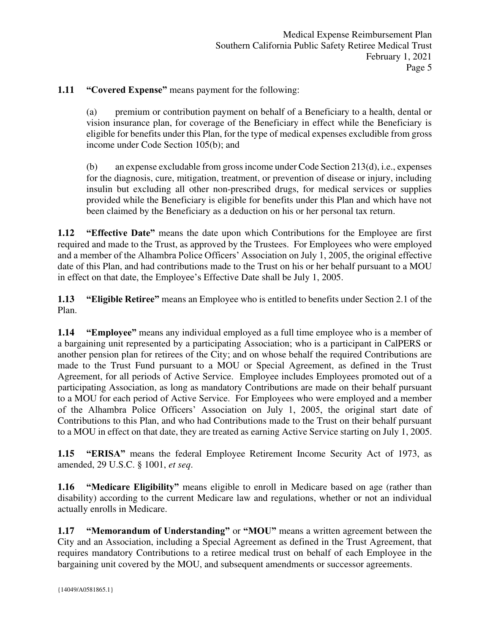### **1.11 "Covered Expense"** means payment for the following:

(a) premium or contribution payment on behalf of a Beneficiary to a health, dental or vision insurance plan, for coverage of the Beneficiary in effect while the Beneficiary is eligible for benefits under this Plan, for the type of medical expenses excludible from gross income under Code Section 105(b); and

(b) an expense excludable from gross income under Code Section 213(d), i.e., expenses for the diagnosis, cure, mitigation, treatment, or prevention of disease or injury, including insulin but excluding all other non-prescribed drugs, for medical services or supplies provided while the Beneficiary is eligible for benefits under this Plan and which have not been claimed by the Beneficiary as a deduction on his or her personal tax return.

**1.12 "Effective Date"** means the date upon which Contributions for the Employee are first required and made to the Trust, as approved by the Trustees. For Employees who were employed and a member of the Alhambra Police Officers' Association on July 1, 2005, the original effective date of this Plan, and had contributions made to the Trust on his or her behalf pursuant to a MOU in effect on that date, the Employee's Effective Date shall be July 1, 2005.

**1.13 "Eligible Retiree"** means an Employee who is entitled to benefits under Section 2.1 of the Plan.

**1.14 "Employee"** means any individual employed as a full time employee who is a member of a bargaining unit represented by a participating Association; who is a participant in CalPERS or another pension plan for retirees of the City; and on whose behalf the required Contributions are made to the Trust Fund pursuant to a MOU or Special Agreement, as defined in the Trust Agreement, for all periods of Active Service. Employee includes Employees promoted out of a participating Association, as long as mandatory Contributions are made on their behalf pursuant to a MOU for each period of Active Service. For Employees who were employed and a member of the Alhambra Police Officers' Association on July 1, 2005, the original start date of Contributions to this Plan, and who had Contributions made to the Trust on their behalf pursuant to a MOU in effect on that date, they are treated as earning Active Service starting on July 1, 2005.

**1.15 "ERISA"** means the federal Employee Retirement Income Security Act of 1973, as amended, 29 U.S.C. § 1001, *et seq*.

**1.16 "Medicare Eligibility"** means eligible to enroll in Medicare based on age (rather than disability) according to the current Medicare law and regulations, whether or not an individual actually enrolls in Medicare.

**1.17 "Memorandum of Understanding"** or **"MOU"** means a written agreement between the City and an Association, including a Special Agreement as defined in the Trust Agreement, that requires mandatory Contributions to a retiree medical trust on behalf of each Employee in the bargaining unit covered by the MOU, and subsequent amendments or successor agreements.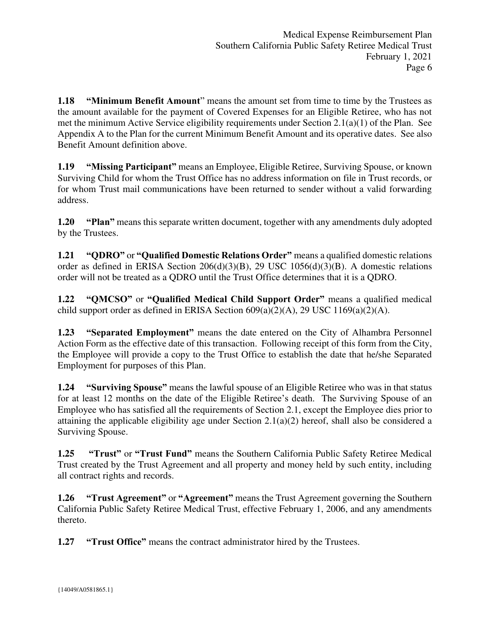**1.18 "Minimum Benefit Amount"** means the amount set from time to time by the Trustees as the amount available for the payment of Covered Expenses for an Eligible Retiree, who has not met the minimum Active Service eligibility requirements under Section 2.1(a)(1) of the Plan. See Appendix A to the Plan for the current Minimum Benefit Amount and its operative dates. See also Benefit Amount definition above.

**1.19 "Missing Participant"** means an Employee, Eligible Retiree, Surviving Spouse, or known Surviving Child for whom the Trust Office has no address information on file in Trust records, or for whom Trust mail communications have been returned to sender without a valid forwarding address.

**1.20 "Plan"** means this separate written document, together with any amendments duly adopted by the Trustees.

**1.21 "QDRO"** or **"Qualified Domestic Relations Order"** means a qualified domestic relations order as defined in ERISA Section 206(d)(3)(B), 29 USC 1056(d)(3)(B). A domestic relations order will not be treated as a QDRO until the Trust Office determines that it is a QDRO.

**1.22 "QMCSO"** or **"Qualified Medical Child Support Order"** means a qualified medical child support order as defined in ERISA Section  $609(a)(2)(A)$ , 29 USC  $1169(a)(2)(A)$ .

**1.23 "Separated Employment"** means the date entered on the City of Alhambra Personnel Action Form as the effective date of this transaction. Following receipt of this form from the City, the Employee will provide a copy to the Trust Office to establish the date that he/she Separated Employment for purposes of this Plan.

**1.24 "Surviving Spouse"** means the lawful spouse of an Eligible Retiree who was in that status for at least 12 months on the date of the Eligible Retiree's death. The Surviving Spouse of an Employee who has satisfied all the requirements of Section 2.1, except the Employee dies prior to attaining the applicable eligibility age under Section 2.1(a)(2) hereof, shall also be considered a Surviving Spouse.

**1.25 "Trust"** or **"Trust Fund"** means the Southern California Public Safety Retiree Medical Trust created by the Trust Agreement and all property and money held by such entity, including all contract rights and records.

**1.26 "Trust Agreement"** or **"Agreement"** means the Trust Agreement governing the Southern California Public Safety Retiree Medical Trust, effective February 1, 2006, and any amendments thereto.

**1.27 "Trust Office"** means the contract administrator hired by the Trustees.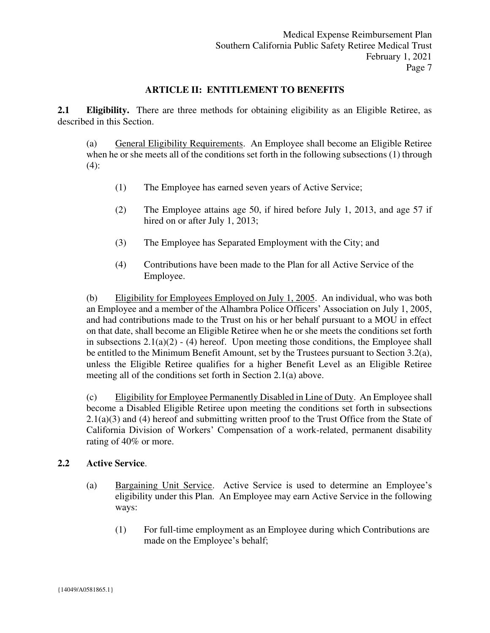#### **ARTICLE II: ENTITLEMENT TO BENEFITS**

<span id="page-7-1"></span><span id="page-7-0"></span>**2.1 Eligibility.** There are three methods for obtaining eligibility as an Eligible Retiree, as described in this Section.

(a) General Eligibility Requirements. An Employee shall become an Eligible Retiree when he or she meets all of the conditions set forth in the following subsections (1) through (4):

- (1) The Employee has earned seven years of Active Service;
- (2) The Employee attains age 50, if hired before July 1, 2013, and age 57 if hired on or after July 1, 2013;
- (3) The Employee has Separated Employment with the City; and
- (4) Contributions have been made to the Plan for all Active Service of the Employee.

(b) Eligibility for Employees Employed on July 1, 2005. An individual, who was both an Employee and a member of the Alhambra Police Officers' Association on July 1, 2005, and had contributions made to the Trust on his or her behalf pursuant to a MOU in effect on that date, shall become an Eligible Retiree when he or she meets the conditions set forth in subsections  $2.1(a)(2) - (4)$  hereof. Upon meeting those conditions, the Employee shall be entitled to the Minimum Benefit Amount, set by the Trustees pursuant to Section 3.2(a), unless the Eligible Retiree qualifies for a higher Benefit Level as an Eligible Retiree meeting all of the conditions set forth in Section 2.1(a) above.

(c) Eligibility for Employee Permanently Disabled in Line of Duty. An Employee shall become a Disabled Eligible Retiree upon meeting the conditions set forth in subsections 2.1(a)(3) and (4) hereof and submitting written proof to the Trust Office from the State of California Division of Workers' Compensation of a work-related, permanent disability rating of 40% or more.

#### <span id="page-7-2"></span>**2.2 Active Service**.

- (a) Bargaining Unit Service. Active Service is used to determine an Employee's eligibility under this Plan. An Employee may earn Active Service in the following ways:
	- (1) For full-time employment as an Employee during which Contributions are made on the Employee's behalf;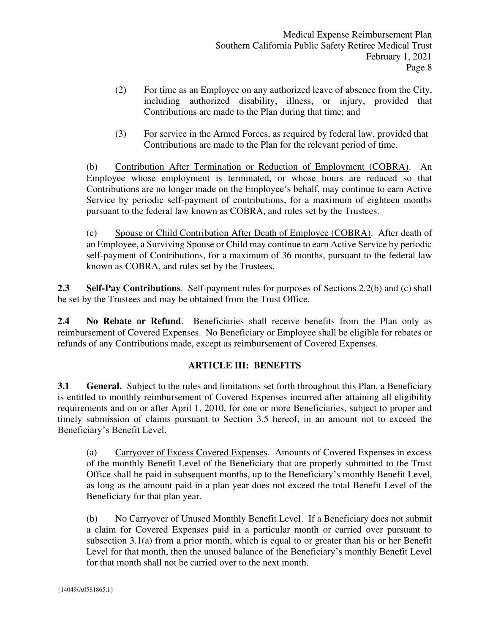- (2) For time as an Employee on any authorized leave of absence from the City, including authorized disability, illness, or injury, provided that Contributions are made to the Plan during that time; and
- (3) For service in the Armed Forces, as required by federal law, provided that Contributions are made to the Plan for the relevant period of time.

(b) Contribution After Termination or Reduction of Employment (COBRA). An Employee whose employment is terminated, or whose hours are reduced so that Contributions are no longer made on the Employee's behalf, may continue to earn Active Service by periodic self-payment of contributions, for a maximum of eighteen months pursuant to the federal law known as COBRA, and rules set by the Trustees.

(c) Spouse or Child Contribution After Death of Employee (COBRA). After death of an Employee, a Surviving Spouse or Child may continue to earn Active Service by periodic self-payment of Contributions, for a maximum of 36 months, pursuant to the federal law known as COBRA, and rules set by the Trustees.

<span id="page-8-0"></span>**2.3 Self-Pay Contributions**. Self-payment rules for purposes of Sections 2.2(b) and (c) shall be set by the Trustees and may be obtained from the Trust Office.

<span id="page-8-1"></span>**2.4 No Rebate or Refund**. Beneficiaries shall receive benefits from the Plan only as reimbursement of Covered Expenses. No Beneficiary or Employee shall be eligible for rebates or refunds of any Contributions made, except as reimbursement of Covered Expenses.

## **ARTICLE III: BENEFITS**

<span id="page-8-3"></span><span id="page-8-2"></span>**3.1 General.** Subject to the rules and limitations set forth throughout this Plan, a Beneficiary is entitled to monthly reimbursement of Covered Expenses incurred after attaining all eligibility requirements and on or after April 1, 2010, for one or more Beneficiaries, subject to proper and timely submission of claims pursuant to Section 3.5 hereof, in an amount not to exceed the Beneficiary's Benefit Level.

(a) Carryover of Excess Covered Expenses. Amounts of Covered Expenses in excess of the monthly Benefit Level of the Beneficiary that are properly submitted to the Trust Office shall be paid in subsequent months, up to the Beneficiary's monthly Benefit Level, as long as the amount paid in a plan year does not exceed the total Benefit Level of the Beneficiary for that plan year.

(b) No Carryover of Unused Monthly Benefit Level. If a Beneficiary does not submit a claim for Covered Expenses paid in a particular month or carried over pursuant to subsection 3.1(a) from a prior month, which is equal to or greater than his or her Benefit Level for that month, then the unused balance of the Beneficiary's monthly Benefit Level for that month shall not be carried over to the next month.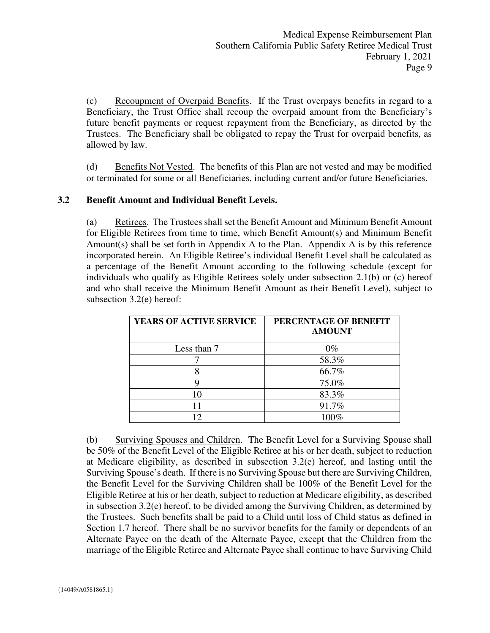(c) Recoupment of Overpaid Benefits. If the Trust overpays benefits in regard to a Beneficiary, the Trust Office shall recoup the overpaid amount from the Beneficiary's future benefit payments or request repayment from the Beneficiary, as directed by the Trustees. The Beneficiary shall be obligated to repay the Trust for overpaid benefits, as allowed by law.

(d) Benefits Not Vested. The benefits of this Plan are not vested and may be modified or terminated for some or all Beneficiaries, including current and/or future Beneficiaries.

## <span id="page-9-0"></span>**3.2 Benefit Amount and Individual Benefit Levels.**

(a) Retirees. The Trustees shall set the Benefit Amount and Minimum Benefit Amount for Eligible Retirees from time to time, which Benefit Amount(s) and Minimum Benefit Amount(s) shall be set forth in Appendix A to the Plan. Appendix A is by this reference incorporated herein. An Eligible Retiree's individual Benefit Level shall be calculated as a percentage of the Benefit Amount according to the following schedule (except for individuals who qualify as Eligible Retirees solely under subsection 2.1(b) or (c) hereof and who shall receive the Minimum Benefit Amount as their Benefit Level), subject to subsection 3.2(e) hereof:

| YEARS OF ACTIVE SERVICE | PERCENTAGE OF BENEFIT<br><b>AMOUNT</b> |
|-------------------------|----------------------------------------|
| Less than 7             | $0\%$                                  |
|                         | 58.3%                                  |
|                         | 66.7%                                  |
|                         | 75.0%                                  |
| 10                      | 83.3%                                  |
|                         | 91.7%                                  |
|                         | 100%                                   |

(b) Surviving Spouses and Children. The Benefit Level for a Surviving Spouse shall be 50% of the Benefit Level of the Eligible Retiree at his or her death, subject to reduction at Medicare eligibility, as described in subsection 3.2(e) hereof, and lasting until the Surviving Spouse's death. If there is no Surviving Spouse but there are Surviving Children, the Benefit Level for the Surviving Children shall be 100% of the Benefit Level for the Eligible Retiree at his or her death, subject to reduction at Medicare eligibility, as described in subsection 3.2(e) hereof, to be divided among the Surviving Children, as determined by the Trustees. Such benefits shall be paid to a Child until loss of Child status as defined in Section 1.7 hereof. There shall be no survivor benefits for the family or dependents of an Alternate Payee on the death of the Alternate Payee, except that the Children from the marriage of the Eligible Retiree and Alternate Payee shall continue to have Surviving Child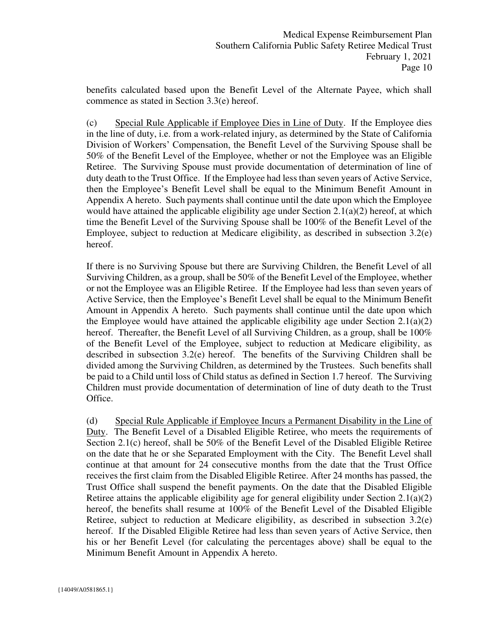benefits calculated based upon the Benefit Level of the Alternate Payee, which shall commence as stated in Section 3.3(e) hereof.

(c) Special Rule Applicable if Employee Dies in Line of Duty. If the Employee dies in the line of duty, i.e. from a work-related injury, as determined by the State of California Division of Workers' Compensation, the Benefit Level of the Surviving Spouse shall be 50% of the Benefit Level of the Employee, whether or not the Employee was an Eligible Retiree. The Surviving Spouse must provide documentation of determination of line of duty death to the Trust Office. If the Employee had less than seven years of Active Service, then the Employee's Benefit Level shall be equal to the Minimum Benefit Amount in Appendix A hereto. Such payments shall continue until the date upon which the Employee would have attained the applicable eligibility age under Section  $2.1(a)(2)$  hereof, at which time the Benefit Level of the Surviving Spouse shall be 100% of the Benefit Level of the Employee, subject to reduction at Medicare eligibility, as described in subsection 3.2(e) hereof.

If there is no Surviving Spouse but there are Surviving Children, the Benefit Level of all Surviving Children, as a group, shall be 50% of the Benefit Level of the Employee, whether or not the Employee was an Eligible Retiree. If the Employee had less than seven years of Active Service, then the Employee's Benefit Level shall be equal to the Minimum Benefit Amount in Appendix A hereto. Such payments shall continue until the date upon which the Employee would have attained the applicable eligibility age under Section  $2.1(a)(2)$ hereof. Thereafter, the Benefit Level of all Surviving Children, as a group, shall be 100% of the Benefit Level of the Employee, subject to reduction at Medicare eligibility, as described in subsection 3.2(e) hereof. The benefits of the Surviving Children shall be divided among the Surviving Children, as determined by the Trustees. Such benefits shall be paid to a Child until loss of Child status as defined in Section 1.7 hereof. The Surviving Children must provide documentation of determination of line of duty death to the Trust Office.

(d) Special Rule Applicable if Employee Incurs a Permanent Disability in the Line of Duty. The Benefit Level of a Disabled Eligible Retiree, who meets the requirements of Section 2.1(c) hereof, shall be 50% of the Benefit Level of the Disabled Eligible Retiree on the date that he or she Separated Employment with the City. The Benefit Level shall continue at that amount for 24 consecutive months from the date that the Trust Office receives the first claim from the Disabled Eligible Retiree. After 24 months has passed, the Trust Office shall suspend the benefit payments. On the date that the Disabled Eligible Retiree attains the applicable eligibility age for general eligibility under Section 2.1(a)(2) hereof, the benefits shall resume at 100% of the Benefit Level of the Disabled Eligible Retiree, subject to reduction at Medicare eligibility, as described in subsection 3.2(e) hereof. If the Disabled Eligible Retiree had less than seven years of Active Service, then his or her Benefit Level (for calculating the percentages above) shall be equal to the Minimum Benefit Amount in Appendix A hereto.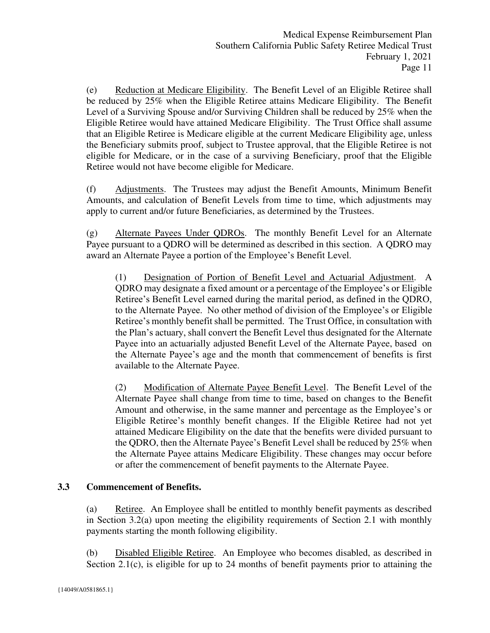(e) Reduction at Medicare Eligibility. The Benefit Level of an Eligible Retiree shall be reduced by 25% when the Eligible Retiree attains Medicare Eligibility. The Benefit Level of a Surviving Spouse and/or Surviving Children shall be reduced by 25% when the Eligible Retiree would have attained Medicare Eligibility. The Trust Office shall assume that an Eligible Retiree is Medicare eligible at the current Medicare Eligibility age, unless the Beneficiary submits proof, subject to Trustee approval, that the Eligible Retiree is not eligible for Medicare, or in the case of a surviving Beneficiary, proof that the Eligible Retiree would not have become eligible for Medicare.

(f) Adjustments. The Trustees may adjust the Benefit Amounts, Minimum Benefit Amounts, and calculation of Benefit Levels from time to time, which adjustments may apply to current and/or future Beneficiaries, as determined by the Trustees.

(g) Alternate Payees Under QDROs. The monthly Benefit Level for an Alternate Payee pursuant to a QDRO will be determined as described in this section. A QDRO may award an Alternate Payee a portion of the Employee's Benefit Level.

(1) Designation of Portion of Benefit Level and Actuarial Adjustment. A QDRO may designate a fixed amount or a percentage of the Employee's or Eligible Retiree's Benefit Level earned during the marital period, as defined in the QDRO, to the Alternate Payee. No other method of division of the Employee's or Eligible Retiree's monthly benefit shall be permitted. The Trust Office, in consultation with the Plan's actuary, shall convert the Benefit Level thus designated for the Alternate Payee into an actuarially adjusted Benefit Level of the Alternate Payee, based on the Alternate Payee's age and the month that commencement of benefits is first available to the Alternate Payee.

(2) Modification of Alternate Payee Benefit Level. The Benefit Level of the Alternate Payee shall change from time to time, based on changes to the Benefit Amount and otherwise, in the same manner and percentage as the Employee's or Eligible Retiree's monthly benefit changes. If the Eligible Retiree had not yet attained Medicare Eligibility on the date that the benefits were divided pursuant to the QDRO, then the Alternate Payee's Benefit Level shall be reduced by 25% when the Alternate Payee attains Medicare Eligibility. These changes may occur before or after the commencement of benefit payments to the Alternate Payee.

#### <span id="page-11-0"></span>**3.3 Commencement of Benefits.**

(a) Retiree. An Employee shall be entitled to monthly benefit payments as described in Section 3.2(a) upon meeting the eligibility requirements of Section 2.1 with monthly payments starting the month following eligibility.

(b) Disabled Eligible Retiree. An Employee who becomes disabled, as described in Section 2.1(c), is eligible for up to 24 months of benefit payments prior to attaining the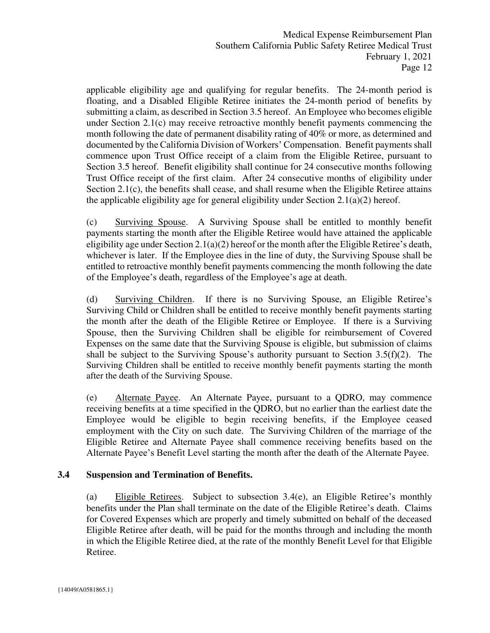applicable eligibility age and qualifying for regular benefits. The 24-month period is floating, and a Disabled Eligible Retiree initiates the 24-month period of benefits by submitting a claim, as described in Section 3.5 hereof. An Employee who becomes eligible under Section 2.1(c) may receive retroactive monthly benefit payments commencing the month following the date of permanent disability rating of 40% or more, as determined and documented by the California Division of Workers' Compensation. Benefit payments shall commence upon Trust Office receipt of a claim from the Eligible Retiree, pursuant to Section 3.5 hereof. Benefit eligibility shall continue for 24 consecutive months following Trust Office receipt of the first claim. After 24 consecutive months of eligibility under Section 2.1(c), the benefits shall cease, and shall resume when the Eligible Retiree attains the applicable eligibility age for general eligibility under Section 2.1(a)(2) hereof.

(c) Surviving Spouse. A Surviving Spouse shall be entitled to monthly benefit payments starting the month after the Eligible Retiree would have attained the applicable eligibility age under Section 2.1(a)(2) hereof or the month after the Eligible Retiree's death, whichever is later. If the Employee dies in the line of duty, the Surviving Spouse shall be entitled to retroactive monthly benefit payments commencing the month following the date of the Employee's death, regardless of the Employee's age at death.

(d) Surviving Children. If there is no Surviving Spouse, an Eligible Retiree's Surviving Child or Children shall be entitled to receive monthly benefit payments starting the month after the death of the Eligible Retiree or Employee. If there is a Surviving Spouse, then the Surviving Children shall be eligible for reimbursement of Covered Expenses on the same date that the Surviving Spouse is eligible, but submission of claims shall be subject to the Surviving Spouse's authority pursuant to Section  $3.5(f)(2)$ . The Surviving Children shall be entitled to receive monthly benefit payments starting the month after the death of the Surviving Spouse.

(e) Alternate Payee. An Alternate Payee, pursuant to a QDRO, may commence receiving benefits at a time specified in the QDRO, but no earlier than the earliest date the Employee would be eligible to begin receiving benefits, if the Employee ceased employment with the City on such date. The Surviving Children of the marriage of the Eligible Retiree and Alternate Payee shall commence receiving benefits based on the Alternate Payee's Benefit Level starting the month after the death of the Alternate Payee.

#### <span id="page-12-0"></span>**3.4 Suspension and Termination of Benefits.**

(a) Eligible Retirees. Subject to subsection 3.4(e), an Eligible Retiree's monthly benefits under the Plan shall terminate on the date of the Eligible Retiree's death. Claims for Covered Expenses which are properly and timely submitted on behalf of the deceased Eligible Retiree after death, will be paid for the months through and including the month in which the Eligible Retiree died, at the rate of the monthly Benefit Level for that Eligible Retiree.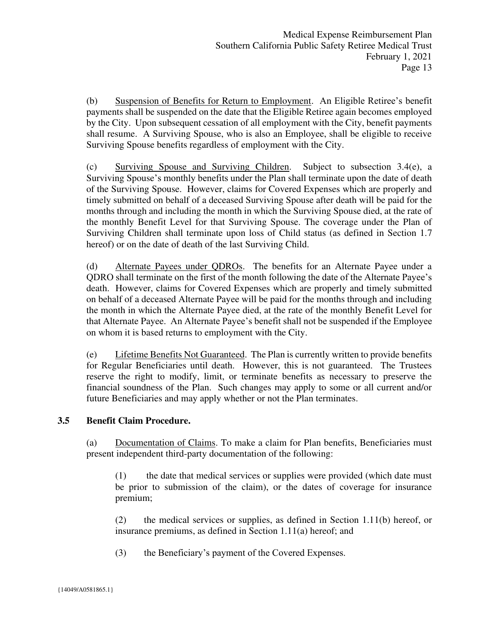(b) Suspension of Benefits for Return to Employment. An Eligible Retiree's benefit payments shall be suspended on the date that the Eligible Retiree again becomes employed by the City. Upon subsequent cessation of all employment with the City, benefit payments shall resume. A Surviving Spouse, who is also an Employee, shall be eligible to receive Surviving Spouse benefits regardless of employment with the City.

(c) Surviving Spouse and Surviving Children. Subject to subsection 3.4(e), a Surviving Spouse's monthly benefits under the Plan shall terminate upon the date of death of the Surviving Spouse. However, claims for Covered Expenses which are properly and timely submitted on behalf of a deceased Surviving Spouse after death will be paid for the months through and including the month in which the Surviving Spouse died, at the rate of the monthly Benefit Level for that Surviving Spouse. The coverage under the Plan of Surviving Children shall terminate upon loss of Child status (as defined in Section 1.7 hereof) or on the date of death of the last Surviving Child.

(d) Alternate Payees under QDROs. The benefits for an Alternate Payee under a QDRO shall terminate on the first of the month following the date of the Alternate Payee's death. However, claims for Covered Expenses which are properly and timely submitted on behalf of a deceased Alternate Payee will be paid for the months through and including the month in which the Alternate Payee died, at the rate of the monthly Benefit Level for that Alternate Payee. An Alternate Payee's benefit shall not be suspended if the Employee on whom it is based returns to employment with the City.

(e) Lifetime Benefits Not Guaranteed. The Plan is currently written to provide benefits for Regular Beneficiaries until death. However, this is not guaranteed. The Trustees reserve the right to modify, limit, or terminate benefits as necessary to preserve the financial soundness of the Plan. Such changes may apply to some or all current and/or future Beneficiaries and may apply whether or not the Plan terminates.

#### <span id="page-13-0"></span>**3.5 Benefit Claim Procedure.**

(a) Documentation of Claims. To make a claim for Plan benefits, Beneficiaries must present independent third-party documentation of the following:

(1) the date that medical services or supplies were provided (which date must be prior to submission of the claim), or the dates of coverage for insurance premium;

(2) the medical services or supplies, as defined in Section 1.11(b) hereof, or insurance premiums, as defined in Section 1.11(a) hereof; and

(3) the Beneficiary's payment of the Covered Expenses.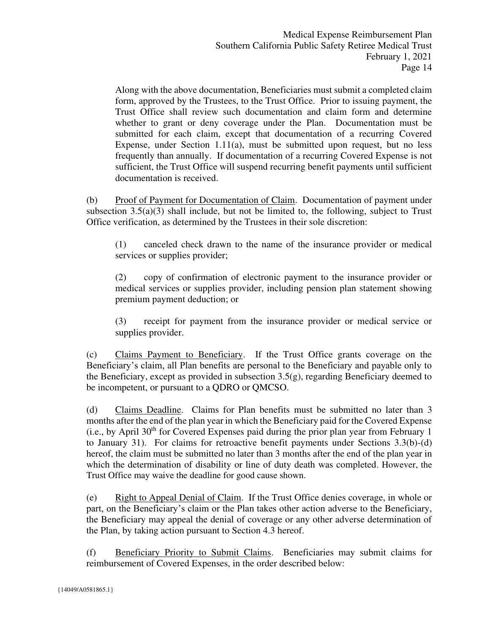Along with the above documentation, Beneficiaries must submit a completed claim form, approved by the Trustees, to the Trust Office. Prior to issuing payment, the Trust Office shall review such documentation and claim form and determine whether to grant or deny coverage under the Plan. Documentation must be submitted for each claim, except that documentation of a recurring Covered Expense, under Section 1.11(a), must be submitted upon request, but no less frequently than annually. If documentation of a recurring Covered Expense is not sufficient, the Trust Office will suspend recurring benefit payments until sufficient documentation is received.

(b) Proof of Payment for Documentation of Claim. Documentation of payment under subsection  $3.5(a)(3)$  shall include, but not be limited to, the following, subject to Trust Office verification, as determined by the Trustees in their sole discretion:

(1) canceled check drawn to the name of the insurance provider or medical services or supplies provider;

(2) copy of confirmation of electronic payment to the insurance provider or medical services or supplies provider, including pension plan statement showing premium payment deduction; or

(3) receipt for payment from the insurance provider or medical service or supplies provider.

(c) Claims Payment to Beneficiary. If the Trust Office grants coverage on the Beneficiary's claim, all Plan benefits are personal to the Beneficiary and payable only to the Beneficiary, except as provided in subsection 3.5(g), regarding Beneficiary deemed to be incompetent, or pursuant to a QDRO or QMCSO.

(d) Claims Deadline. Claims for Plan benefits must be submitted no later than 3 months after the end of the plan year in which the Beneficiary paid for the Covered Expense (i.e., by April  $30<sup>th</sup>$  for Covered Expenses paid during the prior plan year from February 1 to January 31). For claims for retroactive benefit payments under Sections 3.3(b)-(d) hereof, the claim must be submitted no later than 3 months after the end of the plan year in which the determination of disability or line of duty death was completed. However, the Trust Office may waive the deadline for good cause shown.

(e) Right to Appeal Denial of Claim. If the Trust Office denies coverage, in whole or part, on the Beneficiary's claim or the Plan takes other action adverse to the Beneficiary, the Beneficiary may appeal the denial of coverage or any other adverse determination of the Plan, by taking action pursuant to Section 4.3 hereof.

(f) Beneficiary Priority to Submit Claims. Beneficiaries may submit claims for reimbursement of Covered Expenses, in the order described below: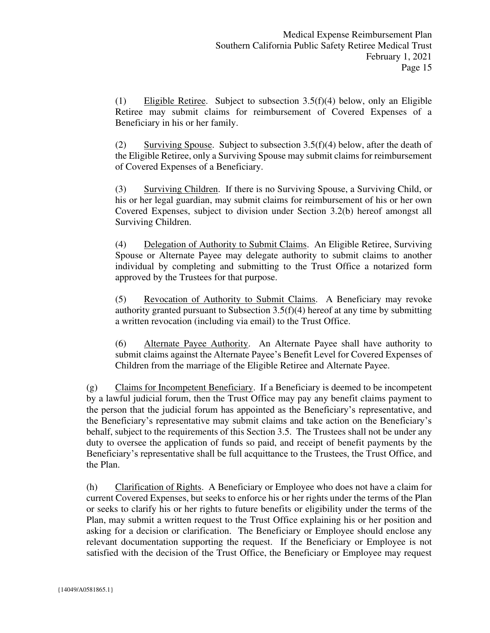(1) Eligible Retiree. Subject to subsection 3.5(f)(4) below, only an Eligible Retiree may submit claims for reimbursement of Covered Expenses of a Beneficiary in his or her family.

(2) Surviving Spouse. Subject to subsection  $3.5(f)(4)$  below, after the death of the Eligible Retiree, only a Surviving Spouse may submit claims for reimbursement of Covered Expenses of a Beneficiary.

(3) Surviving Children. If there is no Surviving Spouse, a Surviving Child, or his or her legal guardian, may submit claims for reimbursement of his or her own Covered Expenses, subject to division under Section 3.2(b) hereof amongst all Surviving Children.

(4) Delegation of Authority to Submit Claims. An Eligible Retiree, Surviving Spouse or Alternate Payee may delegate authority to submit claims to another individual by completing and submitting to the Trust Office a notarized form approved by the Trustees for that purpose.

(5) Revocation of Authority to Submit Claims. A Beneficiary may revoke authority granted pursuant to Subsection 3.5(f)(4) hereof at any time by submitting a written revocation (including via email) to the Trust Office.

(6) Alternate Payee Authority. An Alternate Payee shall have authority to submit claims against the Alternate Payee's Benefit Level for Covered Expenses of Children from the marriage of the Eligible Retiree and Alternate Payee.

(g) Claims for Incompetent Beneficiary. If a Beneficiary is deemed to be incompetent by a lawful judicial forum, then the Trust Office may pay any benefit claims payment to the person that the judicial forum has appointed as the Beneficiary's representative, and the Beneficiary's representative may submit claims and take action on the Beneficiary's behalf, subject to the requirements of this Section 3.5. The Trustees shall not be under any duty to oversee the application of funds so paid, and receipt of benefit payments by the Beneficiary's representative shall be full acquittance to the Trustees, the Trust Office, and the Plan.

(h) Clarification of Rights. A Beneficiary or Employee who does not have a claim for current Covered Expenses, but seeks to enforce his or her rights under the terms of the Plan or seeks to clarify his or her rights to future benefits or eligibility under the terms of the Plan, may submit a written request to the Trust Office explaining his or her position and asking for a decision or clarification. The Beneficiary or Employee should enclose any relevant documentation supporting the request. If the Beneficiary or Employee is not satisfied with the decision of the Trust Office, the Beneficiary or Employee may request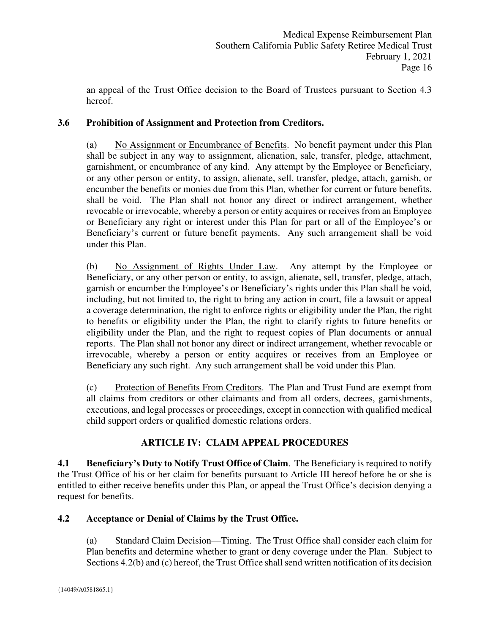an appeal of the Trust Office decision to the Board of Trustees pursuant to Section 4.3 hereof.

# <span id="page-16-0"></span>**3.6 Prohibition of Assignment and Protection from Creditors.**

(a) No Assignment or Encumbrance of Benefits. No benefit payment under this Plan shall be subject in any way to assignment, alienation, sale, transfer, pledge, attachment, garnishment, or encumbrance of any kind. Any attempt by the Employee or Beneficiary, or any other person or entity, to assign, alienate, sell, transfer, pledge, attach, garnish, or encumber the benefits or monies due from this Plan, whether for current or future benefits, shall be void. The Plan shall not honor any direct or indirect arrangement, whether revocable or irrevocable, whereby a person or entity acquires or receives from an Employee or Beneficiary any right or interest under this Plan for part or all of the Employee's or Beneficiary's current or future benefit payments. Any such arrangement shall be void under this Plan.

(b) No Assignment of Rights Under Law. Any attempt by the Employee or Beneficiary, or any other person or entity, to assign, alienate, sell, transfer, pledge, attach, garnish or encumber the Employee's or Beneficiary's rights under this Plan shall be void, including, but not limited to, the right to bring any action in court, file a lawsuit or appeal a coverage determination, the right to enforce rights or eligibility under the Plan, the right to benefits or eligibility under the Plan, the right to clarify rights to future benefits or eligibility under the Plan, and the right to request copies of Plan documents or annual reports. The Plan shall not honor any direct or indirect arrangement, whether revocable or irrevocable, whereby a person or entity acquires or receives from an Employee or Beneficiary any such right. Any such arrangement shall be void under this Plan.

(c) Protection of Benefits From Creditors. The Plan and Trust Fund are exempt from all claims from creditors or other claimants and from all orders, decrees, garnishments, executions, and legal processes or proceedings, except in connection with qualified medical child support orders or qualified domestic relations orders.

# **ARTICLE IV: CLAIM APPEAL PROCEDURES**

<span id="page-16-2"></span><span id="page-16-1"></span>**4.1 Beneficiary's Duty to Notify Trust Office of Claim**. The Beneficiary is required to notify the Trust Office of his or her claim for benefits pursuant to Article III hereof before he or she is entitled to either receive benefits under this Plan, or appeal the Trust Office's decision denying a request for benefits.

## <span id="page-16-3"></span>**4.2 Acceptance or Denial of Claims by the Trust Office.**

(a) Standard Claim Decision—Timing. The Trust Office shall consider each claim for Plan benefits and determine whether to grant or deny coverage under the Plan. Subject to Sections 4.2(b) and (c) hereof, the Trust Office shall send written notification of its decision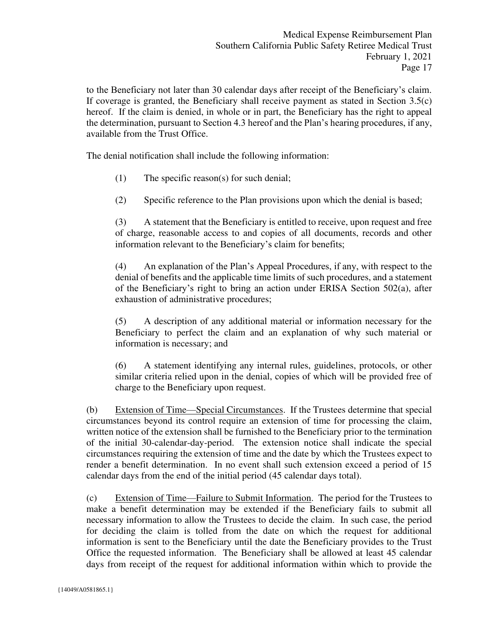to the Beneficiary not later than 30 calendar days after receipt of the Beneficiary's claim. If coverage is granted, the Beneficiary shall receive payment as stated in Section 3.5(c) hereof. If the claim is denied, in whole or in part, the Beneficiary has the right to appeal the determination, pursuant to Section 4.3 hereof and the Plan's hearing procedures, if any, available from the Trust Office.

The denial notification shall include the following information:

- (1) The specific reason(s) for such denial;
- (2) Specific reference to the Plan provisions upon which the denial is based;

(3) A statement that the Beneficiary is entitled to receive, upon request and free of charge, reasonable access to and copies of all documents, records and other information relevant to the Beneficiary's claim for benefits;

(4) An explanation of the Plan's Appeal Procedures, if any, with respect to the denial of benefits and the applicable time limits of such procedures, and a statement of the Beneficiary's right to bring an action under ERISA Section 502(a), after exhaustion of administrative procedures;

(5) A description of any additional material or information necessary for the Beneficiary to perfect the claim and an explanation of why such material or information is necessary; and

(6) A statement identifying any internal rules, guidelines, protocols, or other similar criteria relied upon in the denial, copies of which will be provided free of charge to the Beneficiary upon request.

(b) Extension of Time—Special Circumstances. If the Trustees determine that special circumstances beyond its control require an extension of time for processing the claim, written notice of the extension shall be furnished to the Beneficiary prior to the termination of the initial 30-calendar-day-period. The extension notice shall indicate the special circumstances requiring the extension of time and the date by which the Trustees expect to render a benefit determination. In no event shall such extension exceed a period of 15 calendar days from the end of the initial period (45 calendar days total).

(c) Extension of Time—Failure to Submit Information. The period for the Trustees to make a benefit determination may be extended if the Beneficiary fails to submit all necessary information to allow the Trustees to decide the claim. In such case, the period for deciding the claim is tolled from the date on which the request for additional information is sent to the Beneficiary until the date the Beneficiary provides to the Trust Office the requested information. The Beneficiary shall be allowed at least 45 calendar days from receipt of the request for additional information within which to provide the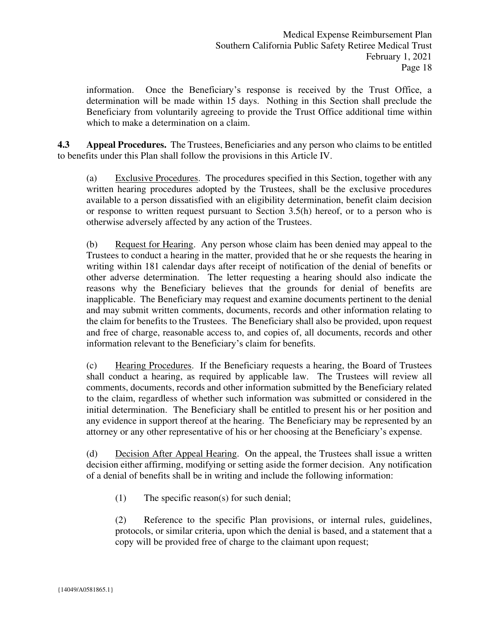information. Once the Beneficiary's response is received by the Trust Office, a determination will be made within 15 days. Nothing in this Section shall preclude the Beneficiary from voluntarily agreeing to provide the Trust Office additional time within which to make a determination on a claim.

<span id="page-18-0"></span>**4.3 Appeal Procedures.** The Trustees, Beneficiaries and any person who claims to be entitled to benefits under this Plan shall follow the provisions in this Article IV.

(a) Exclusive Procedures. The procedures specified in this Section, together with any written hearing procedures adopted by the Trustees, shall be the exclusive procedures available to a person dissatisfied with an eligibility determination, benefit claim decision or response to written request pursuant to Section 3.5(h) hereof, or to a person who is otherwise adversely affected by any action of the Trustees.

(b) Request for Hearing. Any person whose claim has been denied may appeal to the Trustees to conduct a hearing in the matter, provided that he or she requests the hearing in writing within 181 calendar days after receipt of notification of the denial of benefits or other adverse determination. The letter requesting a hearing should also indicate the reasons why the Beneficiary believes that the grounds for denial of benefits are inapplicable. The Beneficiary may request and examine documents pertinent to the denial and may submit written comments, documents, records and other information relating to the claim for benefits to the Trustees. The Beneficiary shall also be provided, upon request and free of charge, reasonable access to, and copies of, all documents, records and other information relevant to the Beneficiary's claim for benefits.

(c) Hearing Procedures. If the Beneficiary requests a hearing, the Board of Trustees shall conduct a hearing, as required by applicable law. The Trustees will review all comments, documents, records and other information submitted by the Beneficiary related to the claim, regardless of whether such information was submitted or considered in the initial determination. The Beneficiary shall be entitled to present his or her position and any evidence in support thereof at the hearing. The Beneficiary may be represented by an attorney or any other representative of his or her choosing at the Beneficiary's expense.

(d) Decision After Appeal Hearing. On the appeal, the Trustees shall issue a written decision either affirming, modifying or setting aside the former decision. Any notification of a denial of benefits shall be in writing and include the following information:

(1) The specific reason(s) for such denial;

(2) Reference to the specific Plan provisions, or internal rules, guidelines, protocols, or similar criteria, upon which the denial is based, and a statement that a copy will be provided free of charge to the claimant upon request;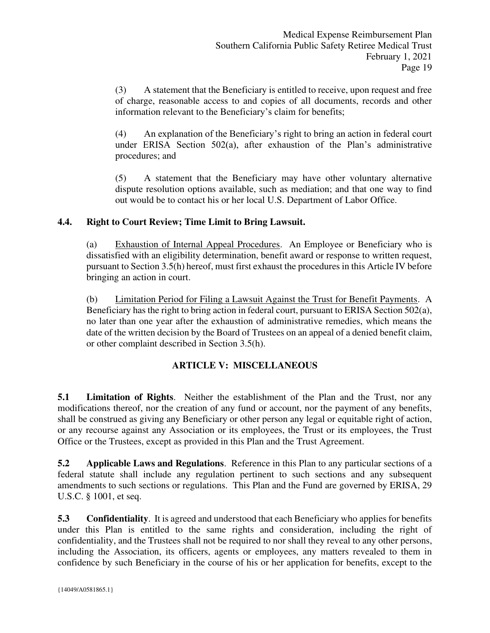(3) A statement that the Beneficiary is entitled to receive, upon request and free of charge, reasonable access to and copies of all documents, records and other information relevant to the Beneficiary's claim for benefits;

(4) An explanation of the Beneficiary's right to bring an action in federal court under ERISA Section 502(a), after exhaustion of the Plan's administrative procedures; and

(5) A statement that the Beneficiary may have other voluntary alternative dispute resolution options available, such as mediation; and that one way to find out would be to contact his or her local U.S. Department of Labor Office.

## <span id="page-19-0"></span>**4.4. Right to Court Review; Time Limit to Bring Lawsuit.**

(a) Exhaustion of Internal Appeal Procedures. An Employee or Beneficiary who is dissatisfied with an eligibility determination, benefit award or response to written request, pursuant to Section 3.5(h) hereof, must first exhaust the procedures in this Article IV before bringing an action in court.

(b) Limitation Period for Filing a Lawsuit Against the Trust for Benefit Payments. A Beneficiary has the right to bring action in federal court, pursuant to ERISA Section 502(a), no later than one year after the exhaustion of administrative remedies, which means the date of the written decision by the Board of Trustees on an appeal of a denied benefit claim, or other complaint described in Section 3.5(h).

## **ARTICLE V: MISCELLANEOUS**

<span id="page-19-2"></span><span id="page-19-1"></span>**5.1 Limitation of Rights**. Neither the establishment of the Plan and the Trust, nor any modifications thereof, nor the creation of any fund or account, nor the payment of any benefits, shall be construed as giving any Beneficiary or other person any legal or equitable right of action, or any recourse against any Association or its employees, the Trust or its employees, the Trust Office or the Trustees, except as provided in this Plan and the Trust Agreement.

<span id="page-19-3"></span>**5.2 Applicable Laws and Regulations**. Reference in this Plan to any particular sections of a federal statute shall include any regulation pertinent to such sections and any subsequent amendments to such sections or regulations. This Plan and the Fund are governed by ERISA, 29 U.S.C. § 1001, et seq.

<span id="page-19-4"></span>**5.3** Confidentiality. It is agreed and understood that each Beneficiary who applies for benefits under this Plan is entitled to the same rights and consideration, including the right of confidentiality, and the Trustees shall not be required to nor shall they reveal to any other persons, including the Association, its officers, agents or employees, any matters revealed to them in confidence by such Beneficiary in the course of his or her application for benefits, except to the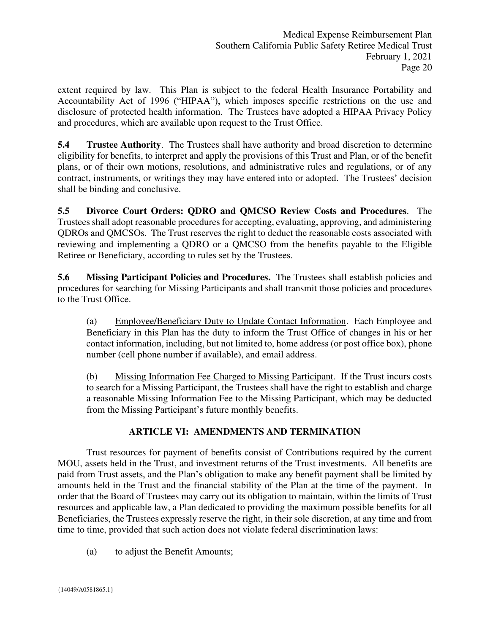extent required by law. This Plan is subject to the federal Health Insurance Portability and Accountability Act of 1996 ("HIPAA"), which imposes specific restrictions on the use and disclosure of protected health information. The Trustees have adopted a HIPAA Privacy Policy and procedures, which are available upon request to the Trust Office.

<span id="page-20-0"></span>**5.4 Trustee Authority**. The Trustees shall have authority and broad discretion to determine eligibility for benefits, to interpret and apply the provisions of this Trust and Plan, or of the benefit plans, or of their own motions, resolutions, and administrative rules and regulations, or of any contract, instruments, or writings they may have entered into or adopted. The Trustees' decision shall be binding and conclusive.

<span id="page-20-1"></span>**5.5 Divorce Court Orders: QDRO and QMCSO Review Costs and Procedures**. The Trustees shall adopt reasonable procedures for accepting, evaluating, approving, and administering QDROs and QMCSOs. The Trust reserves the right to deduct the reasonable costs associated with reviewing and implementing a QDRO or a QMCSO from the benefits payable to the Eligible Retiree or Beneficiary, according to rules set by the Trustees.

<span id="page-20-2"></span>**5.6 Missing Participant Policies and Procedures.** The Trustees shall establish policies and procedures for searching for Missing Participants and shall transmit those policies and procedures to the Trust Office.

(a) Employee/Beneficiary Duty to Update Contact Information. Each Employee and Beneficiary in this Plan has the duty to inform the Trust Office of changes in his or her contact information, including, but not limited to, home address (or post office box), phone number (cell phone number if available), and email address.

(b) Missing Information Fee Charged to Missing Participant. If the Trust incurs costs to search for a Missing Participant, the Trustees shall have the right to establish and charge a reasonable Missing Information Fee to the Missing Participant, which may be deducted from the Missing Participant's future monthly benefits.

# **ARTICLE VI: AMENDMENTS AND TERMINATION**

<span id="page-20-3"></span> Trust resources for payment of benefits consist of Contributions required by the current MOU, assets held in the Trust, and investment returns of the Trust investments. All benefits are paid from Trust assets, and the Plan's obligation to make any benefit payment shall be limited by amounts held in the Trust and the financial stability of the Plan at the time of the payment. In order that the Board of Trustees may carry out its obligation to maintain, within the limits of Trust resources and applicable law, a Plan dedicated to providing the maximum possible benefits for all Beneficiaries, the Trustees expressly reserve the right, in their sole discretion, at any time and from time to time, provided that such action does not violate federal discrimination laws:

(a) to adjust the Benefit Amounts;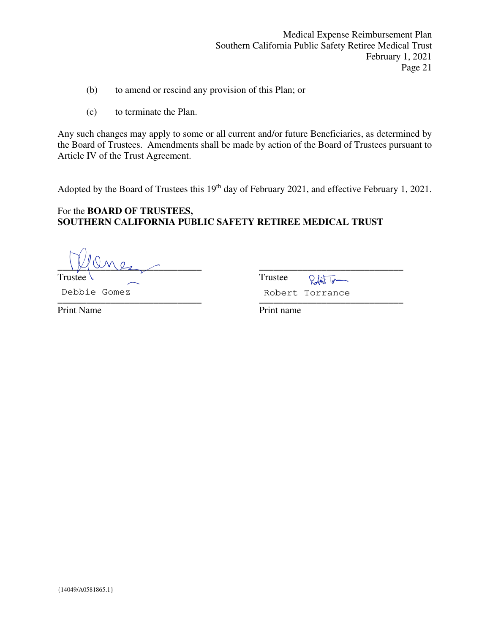- (b) to amend or rescind any provision of this Plan; or
- (c) to terminate the Plan.

Any such changes may apply to some or all current and/or future Beneficiaries, as determined by the Board of Trustees. Amendments shall be made by action of the Board of Trustees pursuant to Article IV of the Trust Agreement.

Adopted by the Board of Trustees this 19<sup>th</sup> day of February 2021, and effective February 1, 2021.

## For the **BOARD OF TRUSTEES, SOUTHERN CALIFORNIA PUBLIC SAFETY RETIREE MEDICAL TRUST**

**\_\_\_\_\_\_\_\_\_\_\_\_\_\_\_\_\_\_\_\_\_\_\_\_\_\_\_\_\_\_ \_\_\_\_\_\_\_\_\_\_\_\_\_\_\_\_\_\_\_\_\_\_\_\_\_\_\_\_\_\_** 

TrusteeTrustee **\_\_\_\_\_\_\_\_\_\_\_\_\_\_\_\_\_\_\_\_\_\_\_\_\_\_\_\_\_\_ \_\_\_\_\_\_\_\_\_\_\_\_\_\_\_\_\_\_\_\_\_\_\_\_\_\_\_\_\_\_**  Debbie Gomez **Robert Torrance** 

Print Name **Print name**